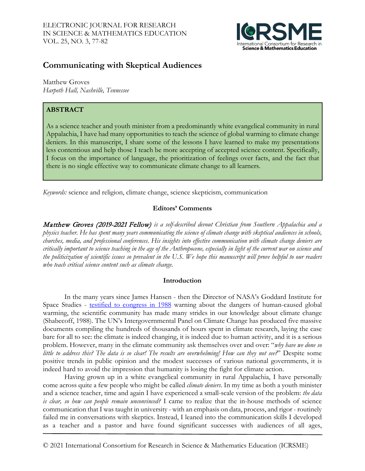

# **Communicating with Skeptical Audiences**

Matthew Groves *Harpeth Hall, Nashville, Tennessee*

# **ABSTRACT**

As a science teacher and youth minister from a predominantly white evangelical community in rural Appalachia, I have had many opportunities to teach the science of global warming to climate change deniers. In this manuscript, I share some of the lessons I have learned to make my presentations less contentious and help those I teach be more accepting of accepted science content. Specifically, I focus on the importance of language, the prioritization of feelings over facts, and the fact that there is no single effective way to communicate climate change to all learners.

*Keywords:* science and religion, climate change, science skepticism, communication

## **Editors' Comments**

Matthew Groves (2019-2021 Fellow) *is a self-described devout Christian from Southern Appalachia and a physics teacher. He has spent many years communicating the science of climate change with skeptical audiences in schools, churches, media, and professional conferences. His insights into effective communication with climate change deniers are critically important to science teaching in the age of the Anthropocene, especially in light of the current war on science and the politicization of scientific issues so prevalent in the U.S. We hope this manuscript will prove helpful to our readers who teach critical science content such as climate change.*

### **Introduction**

In the many years since James Hansen - then the Director of NASA's Goddard Institute for Space Studies - [testified to congress in 1988](https://www.nytimes.com/1988/06/24/us/global-warming-has-begun-expert-tells-senate.html) warning about the dangers of human-caused global warming, the scientific community has made many strides in our knowledge about climate change (Shabecoff, 1988). The UN's Intergovernmental Panel on Climate Change has produced five massive documents compiling the hundreds of thousands of hours spent in climate research, laying the case bare for all to see: the climate is indeed changing, it is indeed due to human activity, and it is a serious problem. However, many in the climate community ask themselves over and over: "*why have we done so little to address this? The data is so clear! The results are overwhelming! How can they not see?*" Despite some positive trends in public opinion and the modest successes of various national governments, it is indeed hard to avoid the impression that humanity is losing the fight for climate action.

Having grown up in a white evangelical community in rural Appalachia, I have personally come across quite a few people who might be called *climate deniers*. In my time as both a youth minister and a science teacher, time and again I have experienced a small-scale version of the problem: *the data is clear, so how can people remain unconvinced?* I came to realize that the in-house methods of science communication that I was taught in university - with an emphasis on data, process, and rigor - routinely failed me in conversations with skeptics. Instead, I leaned into the communication skills I developed as a teacher and a pastor and have found significant successes with audiences of all ages,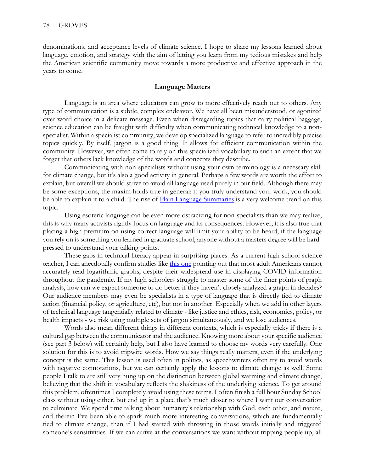denominations, and acceptance levels of climate science. I hope to share my lessons learned about language, emotion, and strategy with the aim of letting you learn from my tedious mistakes and help the American scientific community move towards a more productive and effective approach in the years to come.

#### **Language Matters**

Language is an area where educators can grow to more effectively reach out to others. Any type of communication is a subtle, complex endeavor. We have all been misunderstood, or agonized over word choice in a delicate message. Even when disregarding topics that carry political baggage, science education can be fraught with difficulty when communicating technical knowledge to a nonspecialist. Within a specialist community, we develop specialized language to refer to incredibly precise topics quickly. By itself, jargon is a good thing! It allows for efficient communication within the community. However, we often come to rely on this specialized vocabulary to such an extent that we forget that others lack knowledge of the words and concepts they describe.

Communicating with non-specialists without using your own terminology is a necessary skill for climate change, but it's also a good activity in general. Perhaps a few words are worth the effort to explain, but overall we should strive to avoid all language used purely in our field. Although there may be some exceptions, the maxim holds true in general: if you truly understand your work, you should be able to explain it to a child. The rise of **Plain Language Summaries** is a very welcome trend on this topic.

Using esoteric language can be even more ostracizing for non-specialists than we may realize; this is why many activists rightly focus on language and its consequences. However, it is also true that placing a high premium on using correct language will limit your ability to be heard; if the language you rely on is something you learned in graduate school, anyone without a masters degree will be hardpressed to understand your talking points.

These gaps in technical literacy appear in surprising places. As a current high school science teacher, I can anecdotally confirm studies like [this one](https://blogs.lse.ac.uk/covid19/2020/05/19/the-public-doesnt-understand-logarithmic-graphs-often-used-to-portray-covid-19) pointing out that most adult Americans cannot accurately read logarithmic graphs, despite their widespread use in displaying COVID information throughout the pandemic. If my high schoolers struggle to master some of the finer points of graph analysis, how can we expect someone to do better if they haven't closely analyzed a graph in decades? Our audience members may even be specialists in a type of language that is directly tied to climate action (financial policy, or agriculture, etc), but not in another. Especially when we add in other layers of technical language tangentially related to climate - like justice and ethics, risk, economics, policy, or health impacts - we risk using multiple sets of jargon simultaneously, and we lose audiences.

Words also mean different things in different contexts, which is especially tricky if there is a cultural gap between the communicator and the audience. Knowing more about your specific audience (see part 3 below) will certainly help, but I also have learned to choose my words very carefully. One solution for this is to avoid tripwire words. How we say things really matters, even if the underlying concept is the same. This lesson is used often in politics, as speechwriters often try to avoid words with negative connotations, but we can certainly apply the lessons to climate change as well. Some people I talk to are still very hung up on the distinction between global warming and climate change, believing that the shift in vocabulary reflects the shakiness of the underlying science. To get around this problem, oftentimes I completely avoid using these terms. I often finish a full hour Sunday School class without using either, but end up in a place that's much closer to where I want our conversation to culminate. We spend time talking about humanity's relationship with God, each other, and nature, and therein I've been able to spark much more interesting conversations, which are fundamentally tied to climate change, than if I had started with throwing in those words initially and triggered someone's sensitivities. If we can arrive at the conversations we want without tripping people up, all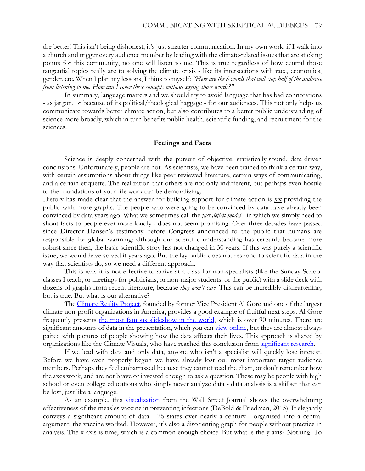the better! This isn't being dishonest, it's just smarter communication. In my own work, if I walk into a church and trigger every audience member by leading with the climate-related issues that are sticking points for this community, no one will listen to me. This is true regardless of how central those tangential topics really are to solving the climate crisis - like its intersections with race, economics, gender, etc. When I plan my lessons, I think to myself: *"Here are the 8 words that will stop half of the audience from listening to me. How can I cover these concepts without saying those words?"* 

In summary, language matters and we should try to avoid language that has bad connotations - as jargon, or because of its political/theological baggage - for our audiences. This not only helps us communicate towards better climate action, but also contributes to a better public understanding of science more broadly, which in turn benefits public health, scientific funding, and recruitment for the sciences.

#### **Feelings and Facts**

Science is deeply concerned with the pursuit of objective, statistically-sound, data-driven conclusions. Unfortunately, people are not. As scientists, we have been trained to think a certain way, with certain assumptions about things like peer-reviewed literature, certain ways of communicating, and a certain etiquette. The realization that others are not only indifferent, but perhaps even hostile to the foundations of your life work can be demoralizing.

History has made clear that the answer for building support for climate action is *not* providing the public with more graphs. The people who were going to be convinced by data have already been convinced by data years ago. What we sometimes call the *fact deficit model* - in which we simply need to shout facts to people ever more loudly - does not seem promising. Over three decades have passed since Director Hansen's testimony before Congress announced to the public that humans are responsible for global warming; although our scientific understanding has certainly become more robust since then, the basic scientific story has not changed in 30 years. If this was purely a scientific issue, we would have solved it years ago. But the lay public does not respond to scientific data in the way that scientists do, so we need a different approach.

This is why it is not effective to arrive at a class for non-specialists (like the Sunday School classes I teach, or meetings for politicians, or non-major students, or the public) with a slide deck with dozens of graphs from recent literature, because *they won't care.* This can be incredibly disheartening, but is true. But what is our alternative?

The [Climate Reality Project,](https://www.climaterealityproject.org/) founded by former Vice President Al Gore and one of the largest climate non-profit organizations in America, provides a good example of fruitful next steps. Al Gore frequently presents [the most famous slideshow in the world,](https://www.publicsource.org/the-most-famous-slideshow-in-the-world-al-gore-presents-his-dramatic-powerpoint-on-climate-change-in-pittsburgh/) which is over 90 minutes. There are significant amounts of data in the presentation, which you can [view online,](https://www.youtube.com/watch?v=B8-skqC70bE) but they are almost always paired with pictures of people showing how the data affects their lives. This approach is shared by organizations like the Climate Visuals, who have reached this conclusion from [significant research.](https://climatevisuals.org/evidence/) 

If we lead with data and only data, anyone who isn't a specialist will quickly lose interest. Before we have even properly begun we have already lost our most important target audience members. Perhaps they feel embarrassed because they cannot read the chart, or don't remember how the axes work, and are not brave or invested enough to ask a question. These may be people with high school or even college educations who simply never analyze data - data analysis is a skillset that can be lost, just like a language.

As an example, this **visualization** from the Wall Street Journal shows the overwhelming effectiveness of the measles vaccine in preventing infections (DeBold & Friedman, 2015). It elegantly conveys a significant amount of data - 26 states over nearly a century - organized into a central argument: the vaccine worked. However, it's also a disorienting graph for people without practice in analysis. The x-axis is time, which is a common enough choice. But what is the y-axis? Nothing. To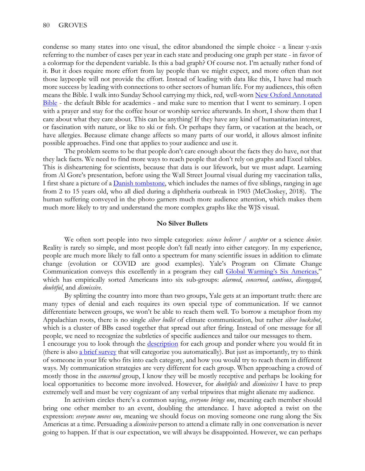condense so many states into one visual, the editor abandoned the simple choice - a linear y-axis referring to the number of cases per year in each state and producing one graph per state - in favor of a colormap for the dependent variable. Is this a bad graph? Of course not. I'm actually rather fond of it. But it does require more effort from lay people than we might expect, and more often than not those laypeople will not provide the effort. Instead of leading with data like this, I have had much more success by leading with connections to other sectors of human life. For my audiences, this often means the Bible. I walk into Sunday School carrying my thick, red, well-worn New Oxford Annotated [Bible](https://global.oup.com/academic/product/the-new-oxford-annotated-bible-with-apocrypha-9780190276072?cc=us&lang=en&) - the default Bible for academics - and make sure to mention that I went to seminary. I open with a prayer and stay for the coffee hour or worship service afterwards. In short, I show them that I care about what they care about. This can be anything! If they have any kind of humanitarian interest, or fascination with nature, or like to ski or fish. Or perhaps they farm, or vacation at the beach, or have allergies. Because climate change affects so many parts of our world, it allows almost infinite possible approaches. Find one that applies to your audience and use it.

The problem seems to be that people don't care enough about the facts they do have, not that they lack facts. We need to find more ways to reach people that don't rely on graphs and Excel tables. This is disheartening for scientists, because that data is our lifework, but we must adapt. Learning from Al Gore's presentation, before using the Wall Street Journal visual during my vaccination talks, I first share a picture of a [Danish tombstone,](https://metro.co.uk/2018/01/22/haunting-photo-shows-vaccinations-good-thing-7250940/) which includes the names of five siblings, ranging in age from 2 to 15 years old, who all died during a diphtheria outbreak in 1903 (McCloskey, 2018). The human suffering conveyed in the photo garners much more audience attention, which makes them much more likely to try and understand the more complex graphs like the WJS visual.

#### **No Silver Bullets**

We often sort people into two simple categories: *science believer / acceptor* or a science *denier*. Reality is rarely so simple, and most people don't fall neatly into either category. In my experience, people are much more likely to fall onto a spectrum for many scientific issues in addition to climate change (evolution or COVID are good examples). Yale's Program on Climate Change Communication conveys this excellently in a program they call **Global Warming's Six Americas**," which has empirically sorted Americans into six sub-groups: *alarmed*, *concerned*, *cautious*, *disengaged*, *doubtful*, and *dismissive*.

By splitting the country into more than two groups, Yale gets at an important truth: there are many types of denial and each requires its own special type of communication. If we cannot differentiate between groups, we won't be able to reach them well. To borrow a metaphor from my Appalachian roots, there is no single *silver bullet* of climate communication, but rather *silver buckshot*, which is a cluster of BBs cased together that spread out after firing. Instead of one message for all people, we need to recognize the subtleties of specific audiences and tailor our messages to them. I encourage you to look through the [description](https://climatecommunication.yale.edu/about/projects/global-warmings-six-americas/) for each group and ponder where you would fit in (there is also [a brief survey](https://climatecommunication.yale.edu/visualizations-data/sassy/) that will categorize you automatically). But just as importantly, try to think of someone in your life who fits into each category, and how you would try to reach them in different ways. My communication strategies are very different for each group. When approaching a crowd of mostly those in the *concerned* group, I know they will be mostly receptive and perhaps be looking for local opportunities to become more involved. However, for *doubtfuls* and *dismissives* I have to prep extremely well and must be very cognizant of any verbal tripwires that might alienate my audience.

 In activism circles there's a common saying, *everyone brings one*, meaning each member should bring one other member to an event, doubling the attendance. I have adopted a twist on the expression: *everyone moves one*, meaning we should focus on moving someone one rung along the Six Americas at a time. Persuading a *dismissive* person to attend a climate rally in one conversation is never going to happen. If that is our expectation, we will always be disappointed. However, we can perhaps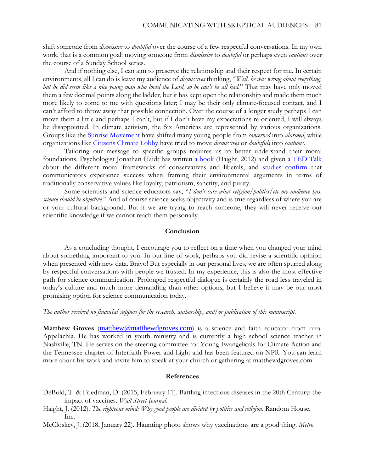shift someone from *dismissive* to *doubtful* over the course of a few respectful conversations. In my own work, that is a common goal: moving someone from *dismissive* to *doubtful* or perhaps even *cautious* over the course of a Sunday School series.

And if nothing else, I can aim to preserve the relationship and their respect for me. In certain environments, all I can do is leave my audience of *dismissives* thinking, "*Well, he was wrong about everything, but he did seem like a nice young man who loved the Lord, so he can't be all bad.*" That may have only moved them a few decimal points along the ladder, but it has kept open the relationship and made them much more likely to come to me with questions later; I may be their only climate-focused contact, and I can't afford to throw away that possible connection. Over the course of a longer study perhaps I can move them a little and perhaps I can't, but if I don't have my expectations re-oriented, I will always be disappointed. In climate activism, the Six Americas are represented by various organizations. Groups like the [Sunrise Movement](https://www.sunrisemovement.org/) have shifted many young people from *concerned* into *alarmed*, while organizations like [Citizens Climate Lobby](https://citizensclimatelobby.org/) have tried to move *dismissives* or *doubtfuls* into *cautious*.

Tailoring our message to specific groups requires us to better understand their moral foundations. Psychologist Jonathan Haidt has written [a book](https://righteousmind.com/about-the-book/) (Haight, 2012) and given [a TED Talk](https://www.youtube.com/watch?v=8SOQduoLgRw) about the different moral frameworks of conservatives and liberals, and [studies confirm](https://greatergood.berkeley.edu/article/item/how_to_speak_your_opponents_language_in_a_political_debate) that communicators experience success when framing their environmental arguments in terms of traditionally conservative values like loyalty, patriotism, sanctity, and purity.

 Some scientists and science educators say, "*I don't care what religion/politics/etc my audience has, science should be objective.*" And of course science seeks objectivity and is true regardless of where you are or your cultural background. But if we are trying to reach someone, they will never receive our scientific knowledge if we cannot reach them personally.

#### **Conclusion**

As a concluding thought, I encourage you to reflect on a time when you changed your mind about something important to you. In our line of work, perhaps you did revise a scientific opinion when presented with new data. Bravo! But especially in our personal lives, we are often spurred along by respectful conversations with people we trusted. In my experience, this is also the most effective path for science communication. Prolonged respectful dialogue is certainly the road less traveled in today's culture and much more demanding than other options, but I believe it may be our most promising option for science communication today.

#### *The author received no financial support for the research, authorship, and/or publication of this manuscript.*

**Matthew Groves** ([matthew@matthewdgroves.com](http://matthew@matthewdgroves.com)) is a science and faith educator from rural Appalachia. He has worked in youth ministry and is currently a high school science teacher in Nashville, TN. He serves on the steering committee for Young Evangelicals for Climate Action and the Tennessee chapter of Interfaith Power and Light and has been featured on NPR. You can learn more about his work and invite him to speak at your church or gathering at matthewdgroves.com.

#### **References**

- DeBold, T. & Friedman, D. (2015, February 11). Battling infectious diseases in the 20th Century: the impact of vaccines. *Wall Street Journal*.
- Haight, J. (2012). *The righteous mind: Why good people are divided by politics and religion*. Random House, Inc.
- McCloskey, J. (2018, January 22). Haunting photo shows why vaccinations are a good thing. *Metro*.